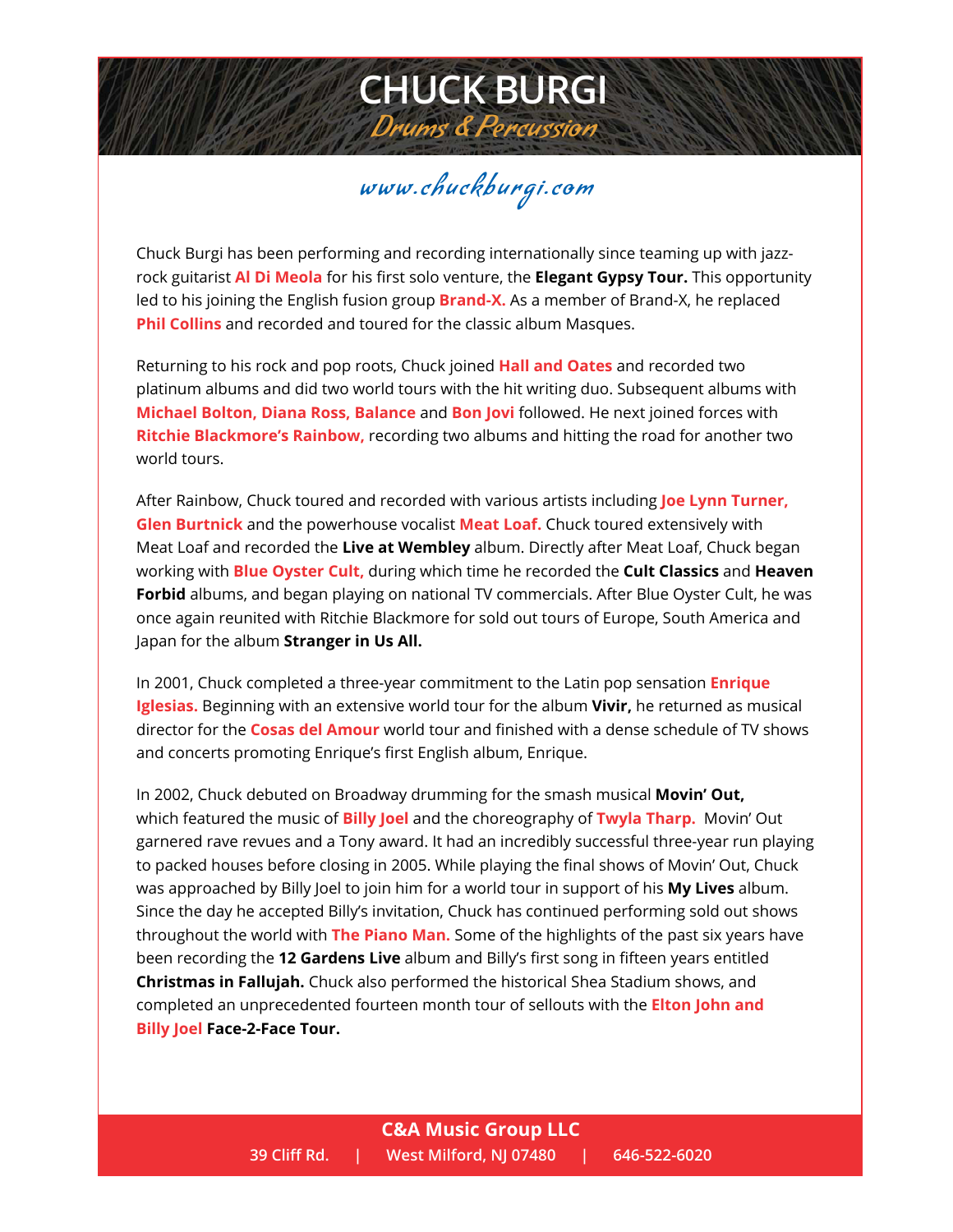## www.chuckburgi.com

**CHUCK BURGI**

Drums & Percussion

Chuck Burgi has been performing and recording internationally since teaming up with jazzrock guitarist **Al Di Meola** for his first solo venture, the **Elegant Gypsy Tour.** This opportunity led to his joining the English fusion group **Brand-X.** As a member of Brand-X, he replaced **Phil Collins** and recorded and toured for the classic album Masques.

Returning to his rock and pop roots, Chuck joined **Hall and Oates** and recorded two platinum albums and did two world tours with the hit writing duo. Subsequent albums with **Michael Bolton, Diana Ross, Balance** and **Bon Jovi** followed. He next joined forces with **Ritchie Blackmore's Rainbow,** recording two albums and hitting the road for another two world tours.

After Rainbow, Chuck toured and recorded with various artists including **Joe Lynn Turner, Glen Burtnick** and the powerhouse vocalist **Meat Loaf.** Chuck toured extensively with Meat Loaf and recorded the **Live at Wembley** album. Directly after Meat Loaf, Chuck began working with **Blue Oyster Cult,** during which time he recorded the **Cult Classics** and **Heaven Forbid** albums, and began playing on national TV commercials. After Blue Oyster Cult, he was once again reunited with Ritchie Blackmore for sold out tours of Europe, South America and Japan for the album **Stranger in Us All.**

In 2001, Chuck completed a three-year commitment to the Latin pop sensation **Enrique Iglesias.** Beginning with an extensive world tour for the album **Vivir,** he returned as musical director for the **Cosas del Amour** world tour and finished with a dense schedule of TV shows and concerts promoting Enrique's first English album, Enrique.

In 2002, Chuck debuted on Broadway drumming for the smash musical **Movin' Out,**  which featured the music of **Billy Joel** and the choreography of **Twyla Tharp.** Movin' Out garnered rave revues and a Tony award. It had an incredibly successful three-year run playing to packed houses before closing in 2005. While playing the final shows of Movin' Out, Chuck was approached by Billy Joel to join him for a world tour in support of his **My Lives** album. Since the day he accepted Billy's invitation, Chuck has continued performing sold out shows throughout the world with **The Piano Man.** Some of the highlights of the past six years have been recording the **12 Gardens Live** album and Billy's first song in fifteen years entitled **Christmas in Fallujah.** Chuck also performed the historical Shea Stadium shows, and completed an unprecedented fourteen month tour of sellouts with the **Elton John and Billy Joel Face-2-Face Tour.**